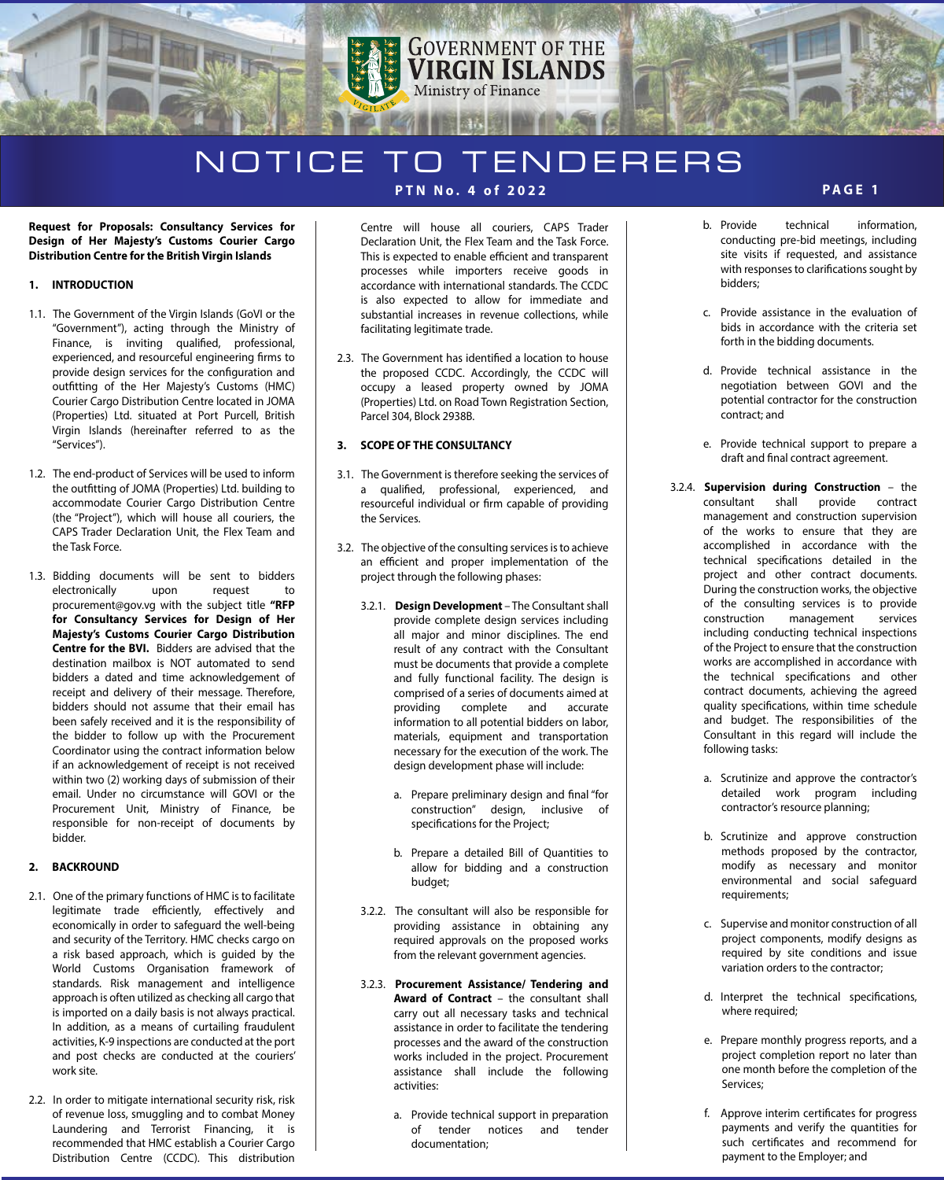# **GOVERNMENT OF THE RGIN ISLANDS** Ministry of Finance

# NOTICE TO TENDERERS **PTN No. 4 of 2022**

#### **Request for Proposals: Consultancy Services for Design of Her Majesty's Customs Courier Cargo Distribution Centre for the British Virgin Islands**

### **1. INTRODUCTION**

- 1.1. The Government of the Virgin Islands (GoVI or the "Government"), acting through the Ministry of Finance, is inviting qualified, professional, experienced, and resourceful engineering firms to provide design services for the configuration and outfitting of the Her Majesty's Customs (HMC) Courier Cargo Distribution Centre located in JOMA (Properties) Ltd. situated at Port Purcell, British Virgin Islands (hereinafter referred to as the "Services").
- 1.2. The end-product of Services will be used to inform the outfitting of JOMA (Properties) Ltd. building to accommodate Courier Cargo Distribution Centre (the "Project"), which will house all couriers, the CAPS Trader Declaration Unit, the Flex Team and the Task Force.
- 1.3. Bidding documents will be sent to bidders electronically upon request to procurement@gov.vg with the subject title **"RFP for Consultancy Services for Design of Her Majesty's Customs Courier Cargo Distribution Centre for the BVI.** Bidders are advised that the destination mailbox is NOT automated to send bidders a dated and time acknowledgement of receipt and delivery of their message. Therefore, bidders should not assume that their email has been safely received and it is the responsibility of the bidder to follow up with the Procurement Coordinator using the contract information below if an acknowledgement of receipt is not received within two (2) working days of submission of their email. Under no circumstance will GOVI or the Procurement Unit, Ministry of Finance, be responsible for non-receipt of documents by bidder.

### **2. BACKROUND**

- 2.1. One of the primary functions of HMC is to facilitate legitimate trade efficiently, effectively and economically in order to safeguard the well-being and security of the Territory. HMC checks cargo on a risk based approach, which is guided by the World Customs Organisation framework of standards. Risk management and intelligence approach is often utilized as checking all cargo that is imported on a daily basis is not always practical. In addition, as a means of curtailing fraudulent activities, K-9 inspections are conducted at the port and post checks are conducted at the couriers' work site.
- 2.2. In order to mitigate international security risk, risk of revenue loss, smuggling and to combat Money Laundering and Terrorist Financing, it is recommended that HMC establish a Courier Cargo Distribution Centre (CCDC). This distribution

Centre will house all couriers, CAPS Trader Declaration Unit, the Flex Team and the Task Force. This is expected to enable efficient and transparent processes while importers receive goods in accordance with international standards. The CCDC is also expected to allow for immediate and substantial increases in revenue collections, while facilitating legitimate trade.

2.3. The Government has identified a location to house the proposed CCDC. Accordingly, the CCDC will occupy a leased property owned by JOMA (Properties) Ltd. on Road Town Registration Section, Parcel 304, Block 2938B.

### **3. SCOPE OF THE CONSULTANCY**

- 3.1. The Government is therefore seeking the services of a qualified, professional, experienced, and resourceful individual or firm capable of providing the Services.
- 3.2. The objective of the consulting services is to achieve an efficient and proper implementation of the project through the following phases:
	- 3.2.1. **Design Development**  The Consultant shall provide complete design services including all major and minor disciplines. The end result of any contract with the Consultant must be documents that provide a complete and fully functional facility. The design is comprised of a series of documents aimed at providing complete and accurate information to all potential bidders on labor, materials, equipment and transportation necessary for the execution of the work. The design development phase will include:
		- a. Prepare preliminary design and final "for construction" design, inclusive of specifications for the Project;
		- b. Prepare a detailed Bill of Quantities to allow for bidding and a construction budget;
	- 3.2.2. The consultant will also be responsible for providing assistance in obtaining any required approvals on the proposed works from the relevant government agencies.
	- 3.2.3. **Procurement Assistance/ Tendering and Award of Contract** – the consultant shall carry out all necessary tasks and technical assistance in order to facilitate the tendering processes and the award of the construction works included in the project. Procurement assistance shall include the following activities:
		- a. Provide technical support in preparation of tender notices and tender documentation;

### **PAGE 1**

- b. Provide technical information, conducting pre-bid meetings, including site visits if requested, and assistance with responses to clarifications sought by bidders;
- c. Provide assistance in the evaluation of bids in accordance with the criteria set forth in the bidding documents.
- d. Provide technical assistance in the negotiation between GOVI and the potential contractor for the construction contract; and
- e. Provide technical support to prepare a draft and final contract agreement.
- 3.2.4. **Supervision during Construction** the consultant shall provide contract management and construction supervision of the works to ensure that they are accomplished in accordance with the technical specifications detailed in the project and other contract documents. During the construction works, the objective of the consulting services is to provide construction management services including conducting technical inspections of the Project to ensure that the construction works are accomplished in accordance with the technical specifications and other contract documents, achieving the agreed quality specifications, within time schedule and budget. The responsibilities of the Consultant in this regard will include the following tasks:
	- a. Scrutinize and approve the contractor's detailed work program including contractor's resource planning;
	- b. Scrutinize and approve construction methods proposed by the contractor, modify as necessary and monitor environmental and social safeguard requirements;
	- c. Supervise and monitor construction of all project components, modify designs as required by site conditions and issue variation orders to the contractor;
	- d. Interpret the technical specifications, where required;
	- e. Prepare monthly progress reports, and a project completion report no later than one month before the completion of the Services;
	- f. Approve interim certificates for progress payments and verify the quantities for such certificates and recommend for payment to the Employer; and